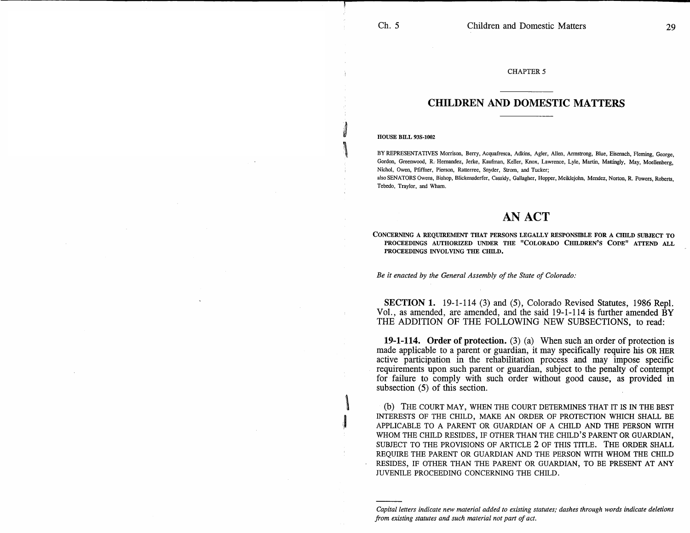### CHAPTER 5

## **CHILDREN AND DOMESTIC MATTERS**

#### HOUSE BILL 93S-1002

BY REPRESENTATIVES Morrison, Berry, Acquafresca, Adkins, Agler, Allen, Armstrong, Blue, Eisenach, Fleming, George, Gordon, Greenwood, R. Hernandez, Jerke, Kaufman, Keller, Knox, Lawrence, Lyle, Martin, Mattingly, May, Moellenberg, Nichol, Owen, Pfiffner, Pierson, Ratterree, Snyder, Strom, and Tucker;

also SENATORS Owens, Bishop, Blickensderfer, Cassidy, Gallagher, Hopper, Meildejohn, Mendez, Norton, R. Powers, Roberts, Tebedo, Traylor, and Wham.

# AN ACT

CONCERNING A REQUIREMENT THAT PERSONS LEGALLY RESPONSIBLE FOR A CHILD SUBJECT TO PROCEEDINGS AUTHORIZED UNDER THE "COLORADO CHILDREN'S CODE" ATTEND ALL PROCEEDINGS INVOLVING THE CHILD.

*Be it enacted by the General Assembly of the State of Colorado:* 

SECTION 1. 19-1-114 (3) and (5), Colorado Revised Statutes, 1986 Repl. Vol., as amended, are amended, and the said  $19-1-114$  is further amended  $BY$ THE ADDITION OF THE FOLLOWING NEW SUBSECTIONS, to read:

**19-1-114. Order of protection.** (3) (a) When such an order of protection is made applicable to a parent or guardian, it may specifically require his OR HER active participation in the rehabilitation process and may impose specific requirements upon such parent or guardian, subject to the penalty of contempt for failure to comply with such order without good cause, as provided in subsection (5) of this section.

(b) THE COURT MAY, WHEN THE COURT DETERMINES THAT IT IS IN THE BEST INTERESTS OF THE CHILD, MAKE AN ORDER OF PROTECTION WHICH SHALL BE APPLICABLE TO A PARENT OR GUARDIAN OF A CHILD AND THE PERSON WITH WHOM THE CHILD RESIDES, IF OTHER THAN THE CHILD'S PARENT OR GUARDIAN, SUBJECT TO THE PROVISIONS OF ARTICLE 2 OF THIS TITLE. THE ORDER SHALL REQUIRE THE PARENT OR GUARDIAN AND THE PERSON WITH WHOM THE CHILD RESIDES, IF OTHER THAN THE PARENT OR GUARDIAN, TO BE PRESENT AT ANY JUVENILE PROCEEDING CONCERNING THE CHILD.

*Capital letters indicate new material added to existing statutes; dashes through words indicate deletions from existing statutes and such material not part of act.*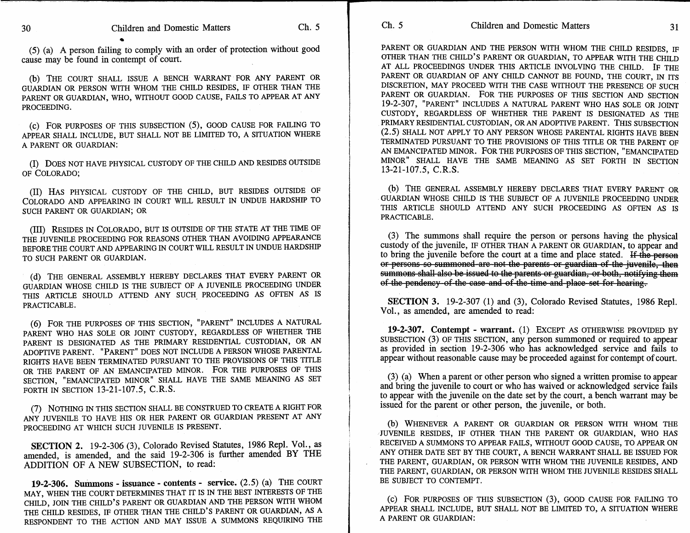(5) (a) A person failing to comply with an order of protection without good cause may be found in contempt of court.

(b) THE COURT SHALL ISSUE A BENCH WARRANT FOR ANY PARENT OR GUARDIAN OR PERSON WITH WHOM THE CHILD RESIDES, IF OTHER THAN THE PARENT OR GUARDIAN, WHO, WITHOUT GOOD CAUSE, FAILS TO APPEAR AT ANY PROCEEDING.

(c) FOR PURPOSES OF THIS SUBSECTION (5), GOOD CAUSE FOR FAILING TO APPEAR SHALL INCLUDE, BUT SHALL NOT BE LIMITED TO, A SITUATION WHERE A PARENT OR GUARDIAN:

(I) DOES NOT HAVE PHYSICAL CUSTODY OF THE CHILD AND RESIDES OUTSIDE OF COLORADO;

(II) HAS PHYSICAL CUSTODY OF THE CHILD, BUT RESIDES OUTSIDE OF COLORADO AND APPEARING IN COURT WILL RESULT IN UNDUE HARDSHIP TO SUCH PARENT OR GUARDIAN; OR

(III) RESIDES IN COLORADO, BUT IS OUTSIDE OF THE STATE AT THE TIME OF THE JUVENILE PROCEEDING FOR REASONS OTHER THAN AVOIDING APPEARANCE BEFORE THE COURT AND APPEARING IN COURT WILL RESULT IN UNDUE HARDSHIP TO SUCH PARENT OR GUARDIAN.

(d) THE GENERAL ASSEMBLY HEREBY DECLARES THAT EVERY PARENT OR GUARDIAN WHOSE CHILD IS THE SUBJECT OF A JUVENILE PROCEEDING UNDER THIS ARTICLE SHOULD ATTEND ANY SUCH PROCEEDING AS OFTEN AS IS PRACTICABLE.

(6) FOR THE PURPOSES OF THIS SECTION, "PARENT" INCLUDES A NATURAL PARENT WHO HAS SOLE OR JOINT CUSTODY, REGARDLESS OF WHETHER THE PARENT IS DESIGNATED AS THE PRIMARY RESIDENTIAL CUSTODIAN, OR AN ADOPTIVE PARENT. "PARENT" DOES NOT INCLUDE A PERSON WHOSE PARENTAL RIGHTS HAVE BEEN TERMINATED PURSUANT TO THE PROVISIONS OF THIS TITLE OR THE PARENT OF AN EMANCIPATED MINOR. FOR THE PURPOSES OF THIS SECTION, "EMANCIPATED MINOR" SHALL HAVE THE SAME MEANING AS SET FORTH IN SECTION 13-21-107.5, C.R.S.

(7) NOTHING IN THIS SECTION SHALL BE CONSTRUED TO CREATE A RIGHT FOR ANY JUVENILE TO HAVE HIS OR HER PARENT OR GUARDIAN PRESENT AT ANY PROCEEDING AT WHICH SUCH JUVENILE IS PRESENT.

**SECTION 2.** 19-2-306 (3), Colorado Revised Statutes, 1986 Repl. Vol., as amended, is amended, and the said 19-2-306 is further amended BY THE ADDITION OF A NEW SUBSECTION, to read:

**19-2-306. Summons - issuance - contents - service.** (2.5) (a) THE COURT MAY, WHEN THE COURT DETERMINES THAT IT IS IN THE BEST INTERESTS OF THE CHILD, JOIN THE CHILD'S PARENT OR GUARDIAN AND THE PERSON WITH WHOM THE CHILD RESIDES, IF OTHER THAN THE CHILD'S PARENT OR GUARDIAN, AS A RESPONDENT TO THE ACTION AND MAY ISSUE A SUMMONS REQUIRING THE

PARENT OR GUARDIAN AND THE PERSON WITH WHOM THE CHILD RESIDES, IF OTHER THAN THE CHILD'S PARENT OR GUARDIAN, TO APPEAR WITH THE CHILD AT ALL PROCEEDINGS UNDER THIS ARTICLE INVOLVING THE CHILD. IF THE PARENT OR GUARDIAN OF ANY CHILD CANNOT BE FOUND, THE COURT, IN ITS DISCRETION, MAY PROCEED WITH THE CASE WITHOUT THE PRESENCE OF SUCH PARENT OR GUARDIAN. FOR THE PURPOSES OF THIS SECTION AND SECTION 19-2-307, "PARENT" INCLUDES A NATURAL PARENT WHO HAS SOLE OR JOINT CUSTODY, REGARDLESS OF WHETHER THE PARENT IS DESIGNATED AS THE PRIMARY RESIDENTIAL CUSTODIAN, OR AN ADOPTIVE PARENT. THIS SUBSECTION (2.5) SHALL NOT APPLY TO ANY PERSON WHOSE PARENTAL RIGHTS HAVE BEEN TERMINATED PURSUANT TO THE PROVISIONS OF THIS TITLE OR THE PARENT OF AN EMANCIPATED MINOR. FOR THE PURPOSES OF THIS SECTION, "EMANCIPATED MINOR" SHALL HAVE THE SAME MEANING AS SET FORTH IN SECTION 13-21-107.5, C.R.S.

(b) THE GENERAL ASSEMBLY HEREBY DECLARES THAT EVERY PARENT OR GUARDIAN WHOSE CHILD IS THE SUBJECT OF A JUVENILE PROCEEDING UNDER THIS ARTICLE SHOULD ATTEND ANY SUCH PROCEEDING AS OFTEN AS IS PRACTICABLE.

(3) The summons shall require the person or persons having the physical custody of the juvenile, IF OTHER THAN A PARENT OR GUARDIAN, to appear and to bring the juvenile before the court at a time and place stated. If the person or persons so summoned-are-not the parents or guardian of the juvenile, then summons shall also be issued to the parents or guardian, or both, notifying them of the pendency of the case and of the time and place set for hearing.

**SECTION 3.** 19-2-307 (1) and (3), Colorado Revised Statutes, 1986 Repl. Vol., as amended, are amended to read:

**19-2-307. Contempt - warrant.** (1) EXCEPT AS OTHERWISE PROVIDED BY SUBSECTION (3) OF THIS SECTION, any person summoned or required to appear as provided in section 19-2-306 who has acknowledged service and fails to appear without reasonable cause may be proceeded against for contempt of court.

(3) (a) When a parent or other person who signed a written promise to appear and bring the juvenile to court or who has waived or acknowledged service fails to appear with the juvenile on the date set by the court, a bench warrant may be issued for the parent or other person, the juvenile, or both.

(b) WHENEVER A PARENT OR GUARDIAN OR PERSON WITH WHOM THE JUVENILE RESIDES, IF OTHER THAN THE PARENT OR GUARDIAN, WHO HAS RECEIVED A SUMMONS TO APPEAR FAILS, WITHOUT GOOD CAUSE, TO APPEAR ON ANY OTHER DATE SET BY THE COURT, A BENCH WARRANT SHALL BE ISSUED FOR THE PARENT, GUARDIAN, OR PERSON WITH WHOM THE JUVENILE RESIDES, AND THE PARENT, GUARDIAN, OR PERSON WITH WHOM THE JUVENILE RESIDES SHALL BE SUBJECT TO CONTEMPT.

(c) FOR PURPOSES OF THIS SUBSECTION (3), GOOD CAUSE FOR FAILING TO APPEAR SHALL INCLUDE, BUT SHALL NOT BE LIMITED TO, A SITUATION WHERE A PARENT OR GUARDIAN: